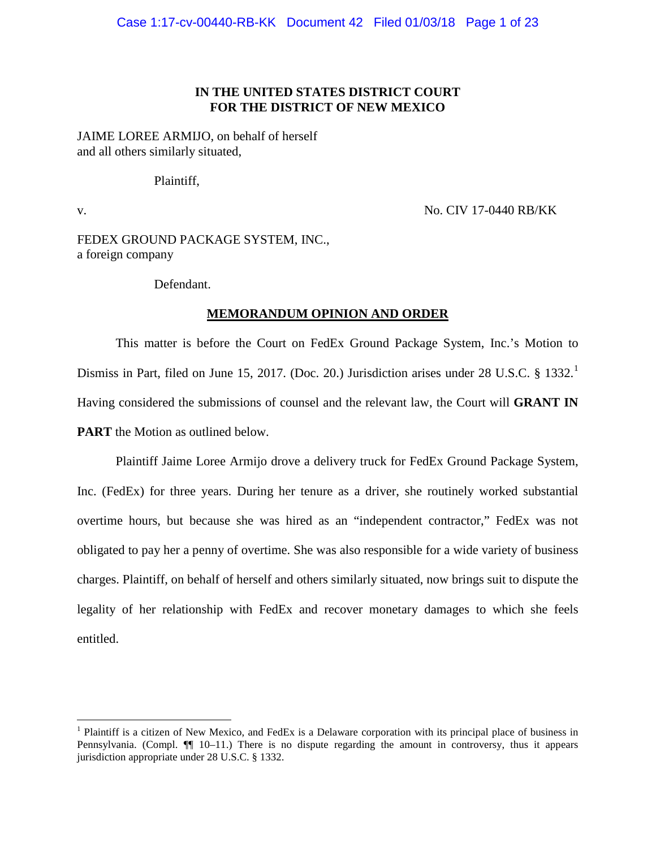## **IN THE UNITED STATES DISTRICT COURT FOR THE DISTRICT OF NEW MEXICO**

JAIME LOREE ARMIJO, on behalf of herself and all others similarly situated,

Plaintiff,

v. No. CIV 17-0440 RB/KK

FEDEX GROUND PACKAGE SYSTEM, INC., a foreign company

Defendant.

#### **MEMORANDUM OPINION AND ORDER**

This matter is before the Court on FedEx Ground Package System, Inc.'s Motion to Dismiss in Part, filed on June [1](#page-0-0)5, 2017. (Doc. 20.) Jurisdiction arises under 28 U.S.C. § 1332.<sup>1</sup> Having considered the submissions of counsel and the relevant law, the Court will **GRANT IN PART** the Motion as outlined below.

Plaintiff Jaime Loree Armijo drove a delivery truck for FedEx Ground Package System, Inc. (FedEx) for three years. During her tenure as a driver, she routinely worked substantial overtime hours, but because she was hired as an "independent contractor," FedEx was not obligated to pay her a penny of overtime. She was also responsible for a wide variety of business charges. Plaintiff, on behalf of herself and others similarly situated, now brings suit to dispute the legality of her relationship with FedEx and recover monetary damages to which she feels entitled.

<span id="page-0-0"></span><sup>&</sup>lt;sup>1</sup> Plaintiff is a citizen of New Mexico, and FedEx is a Delaware corporation with its principal place of business in Pennsylvania. (Compl.  $\P$  10–11.) There is no dispute regarding the amount in controversy, thus it appears jurisdiction appropriate under 28 U.S.C. § 1332.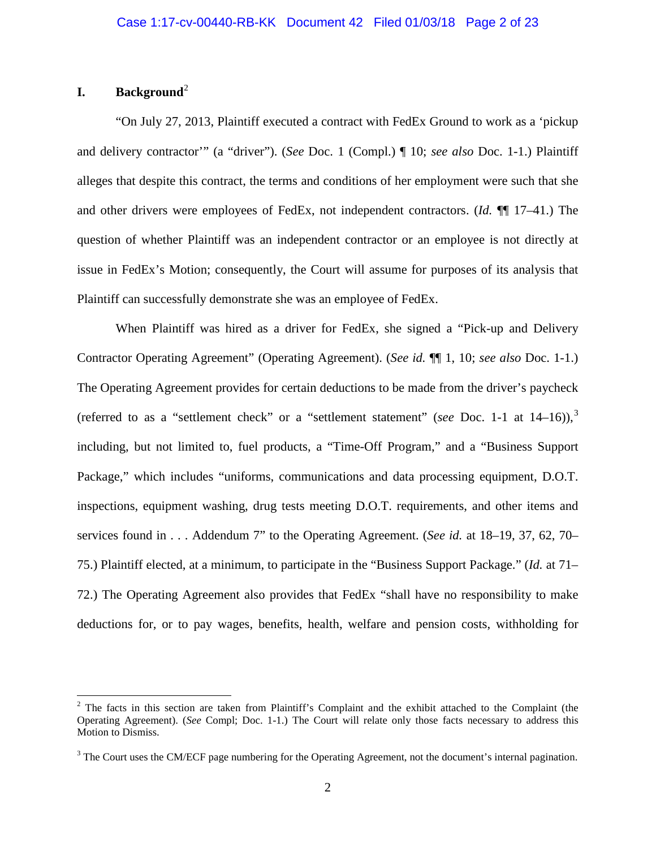## **I. Background**[2](#page-1-0)

"On July 27, 2013, Plaintiff executed a contract with FedEx Ground to work as a 'pickup and delivery contractor'" (a "driver"). (*See* Doc. 1 (Compl.) ¶ 10; *see also* Doc. 1-1.) Plaintiff alleges that despite this contract, the terms and conditions of her employment were such that she and other drivers were employees of FedEx, not independent contractors. (*Id.* ¶¶ 17–41.) The question of whether Plaintiff was an independent contractor or an employee is not directly at issue in FedEx's Motion; consequently, the Court will assume for purposes of its analysis that Plaintiff can successfully demonstrate she was an employee of FedEx.

When Plaintiff was hired as a driver for FedEx, she signed a "Pick-up and Delivery Contractor Operating Agreement" (Operating Agreement). (*See id.* ¶¶ 1, 10; *see also* Doc. 1-1.) The Operating Agreement provides for certain deductions to be made from the driver's paycheck (referred to as a "settlement check" or a "settlement statement" (*see* Doc. 1-1 at 14–16)), [3](#page-1-1) including, but not limited to, fuel products, a "Time-Off Program," and a "Business Support Package," which includes "uniforms, communications and data processing equipment, D.O.T. inspections, equipment washing, drug tests meeting D.O.T. requirements, and other items and services found in . . . Addendum 7" to the Operating Agreement. (*See id.* at 18–19, 37, 62, 70– 75.) Plaintiff elected, at a minimum, to participate in the "Business Support Package." (*Id.* at 71– 72.) The Operating Agreement also provides that FedEx "shall have no responsibility to make deductions for, or to pay wages, benefits, health, welfare and pension costs, withholding for

<span id="page-1-0"></span><sup>&</sup>lt;sup>2</sup> The facts in this section are taken from Plaintiff's Complaint and the exhibit attached to the Complaint (the Operating Agreement). (*See* Compl; Doc. 1-1.) The Court will relate only those facts necessary to address this Motion to Dismiss.

<span id="page-1-1"></span><sup>&</sup>lt;sup>3</sup> The Court uses the CM/ECF page numbering for the Operating Agreement, not the document's internal pagination.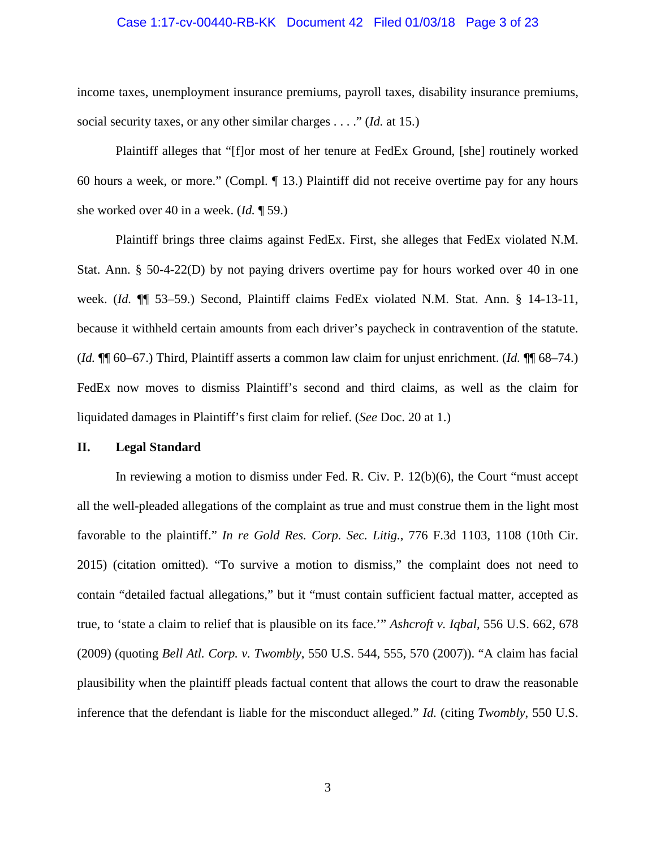#### Case 1:17-cv-00440-RB-KK Document 42 Filed 01/03/18 Page 3 of 23

income taxes, unemployment insurance premiums, payroll taxes, disability insurance premiums, social security taxes, or any other similar charges . . . ." (*Id.* at 15.)

Plaintiff alleges that "[f]or most of her tenure at FedEx Ground, [she] routinely worked 60 hours a week, or more." (Compl. ¶ 13.) Plaintiff did not receive overtime pay for any hours she worked over 40 in a week. (*Id.* ¶ 59.)

Plaintiff brings three claims against FedEx. First, she alleges that FedEx violated N.M. Stat. Ann. § 50-4-22(D) by not paying drivers overtime pay for hours worked over 40 in one week. (*Id.* ¶¶ 53–59.) Second, Plaintiff claims FedEx violated N.M. Stat. Ann. § 14-13-11, because it withheld certain amounts from each driver's paycheck in contravention of the statute. (*Id.* ¶¶ 60–67.) Third, Plaintiff asserts a common law claim for unjust enrichment. (*Id.* ¶¶ 68–74.) FedEx now moves to dismiss Plaintiff's second and third claims, as well as the claim for liquidated damages in Plaintiff's first claim for relief. (*See* Doc. 20 at 1.)

#### **II. Legal Standard**

In reviewing a motion to dismiss under Fed. R. Civ. P. 12(b)(6), the Court "must accept" all the well-pleaded allegations of the complaint as true and must construe them in the light most favorable to the plaintiff." *In re Gold Res. Corp. Sec. Litig.*, 776 F.3d 1103, 1108 (10th Cir. 2015) (citation omitted). "To survive a motion to dismiss," the complaint does not need to contain "detailed factual allegations," but it "must contain sufficient factual matter, accepted as true, to 'state a claim to relief that is plausible on its face.'" *Ashcroft v. Iqbal*, 556 U.S. 662, 678 (2009) (quoting *Bell Atl. Corp. v. Twombly*, 550 U.S. 544, 555, 570 (2007)). "A claim has facial plausibility when the plaintiff pleads factual content that allows the court to draw the reasonable inference that the defendant is liable for the misconduct alleged." *Id.* (citing *Twombly*, 550 U.S.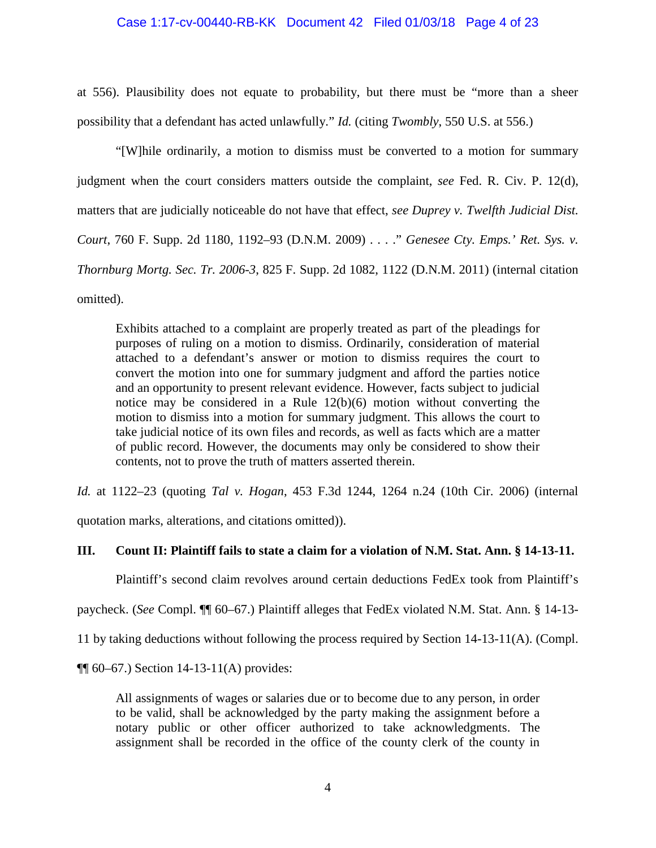#### Case 1:17-cv-00440-RB-KK Document 42 Filed 01/03/18 Page 4 of 23

at 556). Plausibility does not equate to probability, but there must be "more than a sheer possibility that a defendant has acted unlawfully." *Id.* (citing *Twombly*, 550 U.S. at 556.)

"[W]hile ordinarily, a motion to dismiss must be converted to a motion for summary judgment when the court considers matters outside the complaint, *see* Fed. R. Civ. P. 12(d), matters that are judicially noticeable do not have that effect, *see Duprey v. Twelfth Judicial Dist. Court*, 760 F. Supp. 2d 1180, 1192–93 (D.N.M. 2009) . . . ." *Genesee Cty. Emps.' Ret. Sys. v. Thornburg Mortg. Sec. Tr. 2006-3*, 825 F. Supp. 2d 1082, 1122 (D.N.M. 2011) (internal citation omitted).

Exhibits attached to a complaint are properly treated as part of the pleadings for purposes of ruling on a motion to dismiss. Ordinarily, consideration of material attached to a defendant's answer or motion to dismiss requires the court to convert the motion into one for summary judgment and afford the parties notice and an opportunity to present relevant evidence. However, facts subject to judicial notice may be considered in a Rule 12(b)(6) motion without converting the motion to dismiss into a motion for summary judgment. This allows the court to take judicial notice of its own files and records, as well as facts which are a matter of public record. However, the documents may only be considered to show their contents, not to prove the truth of matters asserted therein.

*Id.* at 1122–23 (quoting *Tal v. Hogan*, 453 F.3d 1244, 1264 n.24 (10th Cir. 2006) (internal

quotation marks, alterations, and citations omitted)).

### **III. Count II: Plaintiff fails to state a claim for a violation of N.M. Stat. Ann. § 14-13-11.**

Plaintiff's second claim revolves around certain deductions FedEx took from Plaintiff's

paycheck. (*See* Compl. ¶¶ 60–67.) Plaintiff alleges that FedEx violated N.M. Stat. Ann. § 14-13-

11 by taking deductions without following the process required by Section 14-13-11(A). (Compl.

 $\P$ [ 60–67.) Section 14-13-11(A) provides:

All assignments of wages or salaries due or to become due to any person, in order to be valid, shall be acknowledged by the party making the assignment before a notary public or other officer authorized to take acknowledgments. The assignment shall be recorded in the office of the county clerk of the county in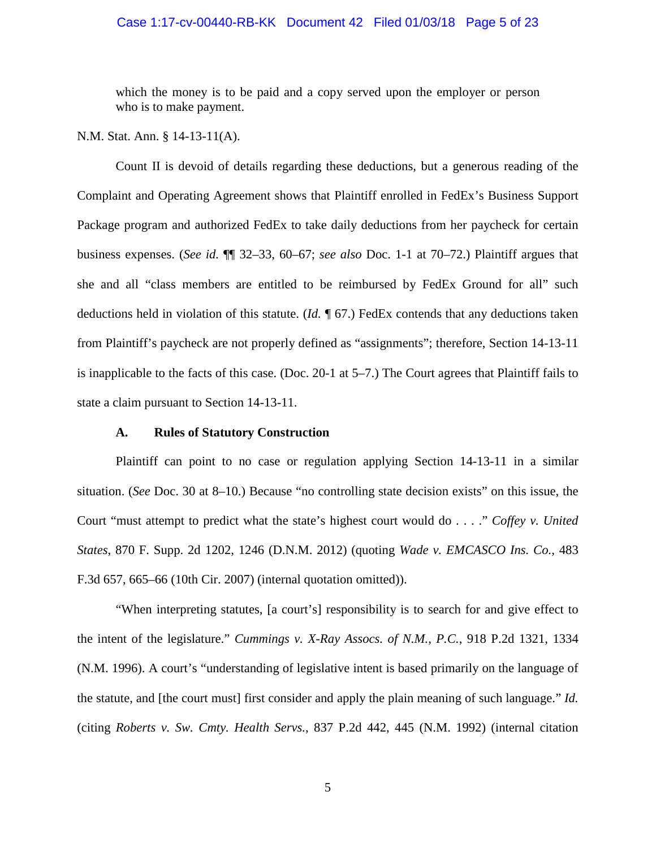#### Case 1:17-cv-00440-RB-KK Document 42 Filed 01/03/18 Page 5 of 23

which the money is to be paid and a copy served upon the employer or person who is to make payment.

#### N.M. Stat. Ann. § 14-13-11(A).

Count II is devoid of details regarding these deductions, but a generous reading of the Complaint and Operating Agreement shows that Plaintiff enrolled in FedEx's Business Support Package program and authorized FedEx to take daily deductions from her paycheck for certain business expenses. (*See id.* ¶¶ 32–33, 60–67; *see also* Doc. 1-1 at 70–72.) Plaintiff argues that she and all "class members are entitled to be reimbursed by FedEx Ground for all" such deductions held in violation of this statute. (*Id.* ¶ 67.) FedEx contends that any deductions taken from Plaintiff's paycheck are not properly defined as "assignments"; therefore, Section 14-13-11 is inapplicable to the facts of this case. (Doc. 20-1 at 5–7.) The Court agrees that Plaintiff fails to state a claim pursuant to Section 14-13-11.

#### **A. Rules of Statutory Construction**

Plaintiff can point to no case or regulation applying Section 14-13-11 in a similar situation. (*See* Doc. 30 at 8–10.) Because "no controlling state decision exists" on this issue, the Court "must attempt to predict what the state's highest court would do . . . ." *Coffey v. United States*, 870 F. Supp. 2d 1202, 1246 (D.N.M. 2012) (quoting *Wade v. EMCASCO Ins. Co.*, 483 F.3d 657, 665–66 (10th Cir. 2007) (internal quotation omitted)).

"When interpreting statutes, [a court's] responsibility is to search for and give effect to the intent of the legislature." *Cummings v. X-Ray Assocs. of N.M., P.C.*, 918 P.2d 1321, 1334 (N.M. 1996). A court's "understanding of legislative intent is based primarily on the language of the statute, and [the court must] first consider and apply the plain meaning of such language." *Id.* (citing *Roberts v. Sw. Cmty. Health Servs.*, 837 P.2d 442, 445 (N.M. 1992) (internal citation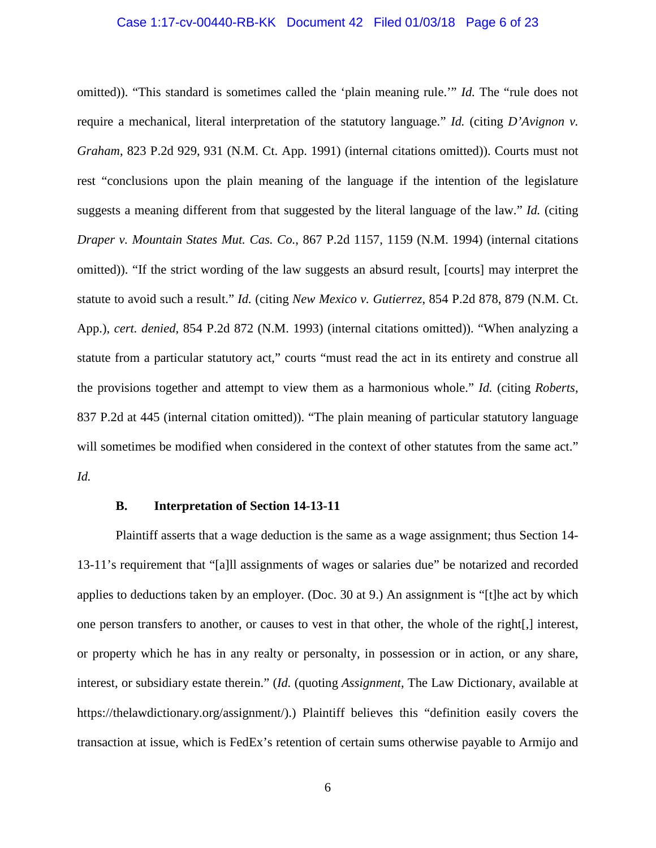#### Case 1:17-cv-00440-RB-KK Document 42 Filed 01/03/18 Page 6 of 23

omitted)). "This standard is sometimes called the 'plain meaning rule.'" *Id.* The "rule does not require a mechanical, literal interpretation of the statutory language." *Id.* (citing *D'Avignon v. Graham*, 823 P.2d 929, 931 (N.M. Ct. App. 1991) (internal citations omitted)). Courts must not rest "conclusions upon the plain meaning of the language if the intention of the legislature suggests a meaning different from that suggested by the literal language of the law." *Id.* (citing *Draper v. Mountain States Mut. Cas. Co.*, 867 P.2d 1157, 1159 (N.M. 1994) (internal citations omitted)). "If the strict wording of the law suggests an absurd result, [courts] may interpret the statute to avoid such a result." *Id.* (citing *New Mexico v. Gutierrez*, 854 P.2d 878, 879 (N.M. Ct. App.), *cert. denied*, 854 P.2d 872 (N.M. 1993) (internal citations omitted)). "When analyzing a statute from a particular statutory act," courts "must read the act in its entirety and construe all the provisions together and attempt to view them as a harmonious whole." *Id.* (citing *Roberts*, 837 P.2d at 445 (internal citation omitted)). "The plain meaning of particular statutory language will sometimes be modified when considered in the context of other statutes from the same act." *Id.*

### **B. Interpretation of Section 14-13-11**

Plaintiff asserts that a wage deduction is the same as a wage assignment; thus Section 14- 13-11's requirement that "[a]ll assignments of wages or salaries due" be notarized and recorded applies to deductions taken by an employer. (Doc. 30 at 9.) An assignment is "[t]he act by which one person transfers to another, or causes to vest in that other, the whole of the right[,] interest, or property which he has in any realty or personalty, in possession or in action, or any share, interest, or subsidiary estate therein." (*Id.* (quoting *Assignment*, The Law Dictionary, available at https://thelawdictionary.org/assignment/).) Plaintiff believes this "definition easily covers the transaction at issue, which is FedEx's retention of certain sums otherwise payable to Armijo and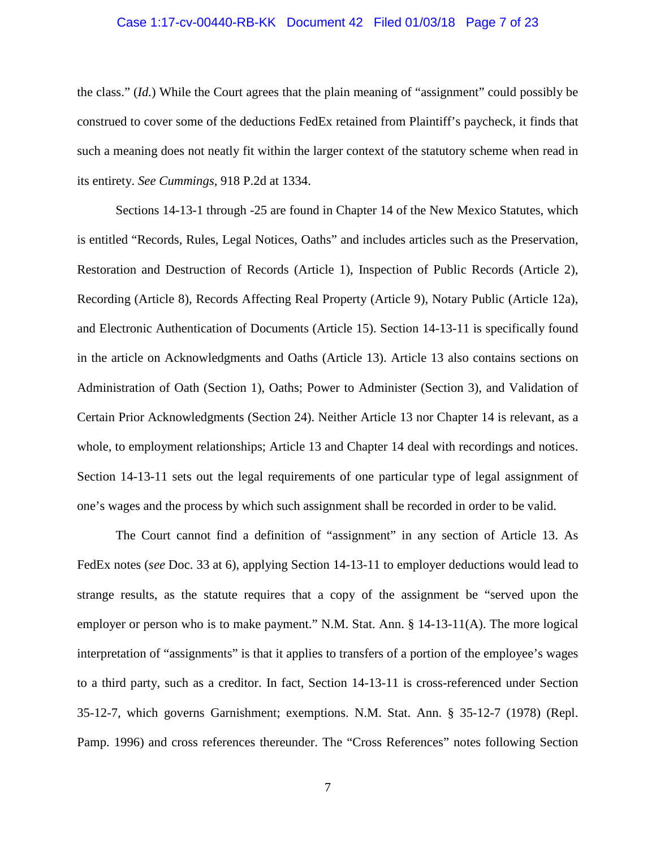#### Case 1:17-cv-00440-RB-KK Document 42 Filed 01/03/18 Page 7 of 23

the class." (*Id.*) While the Court agrees that the plain meaning of "assignment" could possibly be construed to cover some of the deductions FedEx retained from Plaintiff's paycheck, it finds that such a meaning does not neatly fit within the larger context of the statutory scheme when read in its entirety. *See Cummings*, 918 P.2d at 1334.

Sections 14-13-1 through -25 are found in Chapter 14 of the New Mexico Statutes, which is entitled "Records, Rules, Legal Notices, Oaths" and includes articles such as the Preservation, Restoration and Destruction of Records (Article 1), Inspection of Public Records (Article 2), Recording (Article 8), Records Affecting Real Property (Article 9), Notary Public (Article 12a), and Electronic Authentication of Documents (Article 15). Section 14-13-11 is specifically found in the article on Acknowledgments and Oaths (Article 13). Article 13 also contains sections on Administration of Oath (Section 1), Oaths; Power to Administer (Section 3), and Validation of Certain Prior Acknowledgments (Section 24). Neither Article 13 nor Chapter 14 is relevant, as a whole, to employment relationships; Article 13 and Chapter 14 deal with recordings and notices. Section 14-13-11 sets out the legal requirements of one particular type of legal assignment of one's wages and the process by which such assignment shall be recorded in order to be valid.

The Court cannot find a definition of "assignment" in any section of Article 13. As FedEx notes (*see* Doc. 33 at 6), applying Section 14-13-11 to employer deductions would lead to strange results, as the statute requires that a copy of the assignment be "served upon the employer or person who is to make payment." N.M. Stat. Ann. § 14-13-11(A). The more logical interpretation of "assignments" is that it applies to transfers of a portion of the employee's wages to a third party, such as a creditor. In fact, Section 14-13-11 is cross-referenced under Section 35-12-7, which governs Garnishment; exemptions. N.M. Stat. Ann. § 35-12-7 (1978) (Repl. Pamp. 1996) and cross references thereunder. The "Cross References" notes following Section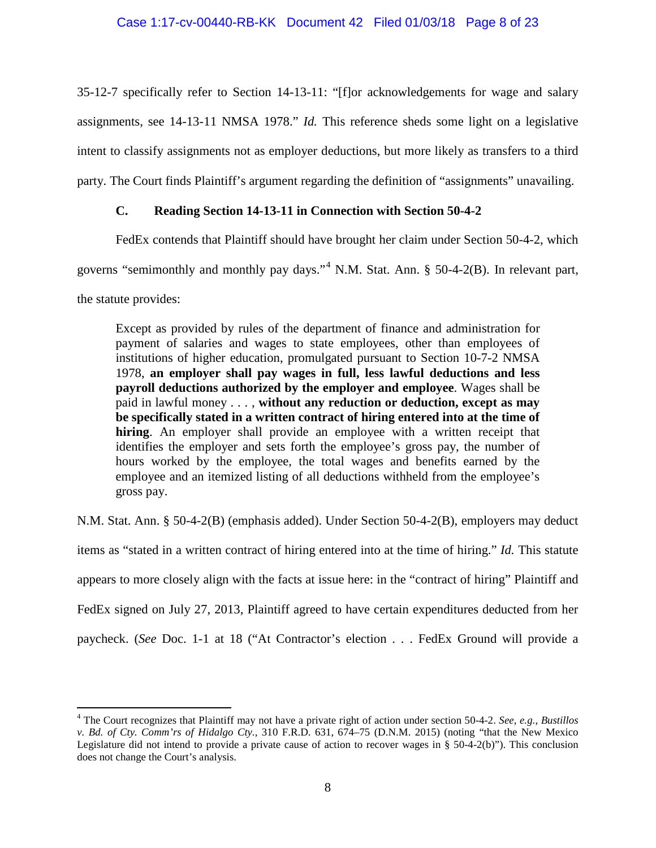35-12-7 specifically refer to Section 14-13-11: "[f]or acknowledgements for wage and salary assignments, see 14-13-11 NMSA 1978." *Id.* This reference sheds some light on a legislative intent to classify assignments not as employer deductions, but more likely as transfers to a third party. The Court finds Plaintiff's argument regarding the definition of "assignments" unavailing.

## **C. Reading Section 14-13-11 in Connection with Section 50-4-2**

FedEx contends that Plaintiff should have brought her claim under Section 50-4-2, which governs "semimonthly and monthly pay days."[4](#page-7-0) N.M. Stat. Ann. § 50-4-2(B). In relevant part, the statute provides:

Except as provided by rules of the department of finance and administration for payment of salaries and wages to state employees, other than employees of institutions of higher education, promulgated pursuant to Section 10-7-2 NMSA 1978, **an employer shall pay wages in full, less lawful deductions and less payroll deductions authorized by the employer and employee**. Wages shall be paid in lawful money . . . , **without any reduction or deduction, except as may be specifically stated in a written contract of hiring entered into at the time of hiring**. An employer shall provide an employee with a written receipt that identifies the employer and sets forth the employee's gross pay, the number of hours worked by the employee, the total wages and benefits earned by the employee and an itemized listing of all deductions withheld from the employee's gross pay.

N.M. Stat. Ann. § 50-4-2(B) (emphasis added). Under Section 50-4-2(B), employers may deduct items as "stated in a written contract of hiring entered into at the time of hiring." *Id.* This statute appears to more closely align with the facts at issue here: in the "contract of hiring" Plaintiff and FedEx signed on July 27, 2013, Plaintiff agreed to have certain expenditures deducted from her paycheck. (*See* Doc. 1-1 at 18 ("At Contractor's election . . . FedEx Ground will provide a

<span id="page-7-0"></span> <sup>4</sup> The Court recognizes that Plaintiff may not have a private right of action under section 50-4-2. *See*, *e.g.*, *Bustillos v. Bd. of Cty. Comm'rs of Hidalgo Cty.*, 310 F.R.D. 631, 674–75 (D.N.M. 2015) (noting "that the New Mexico Legislature did not intend to provide a private cause of action to recover wages in § 50-4-2(b)"). This conclusion does not change the Court's analysis.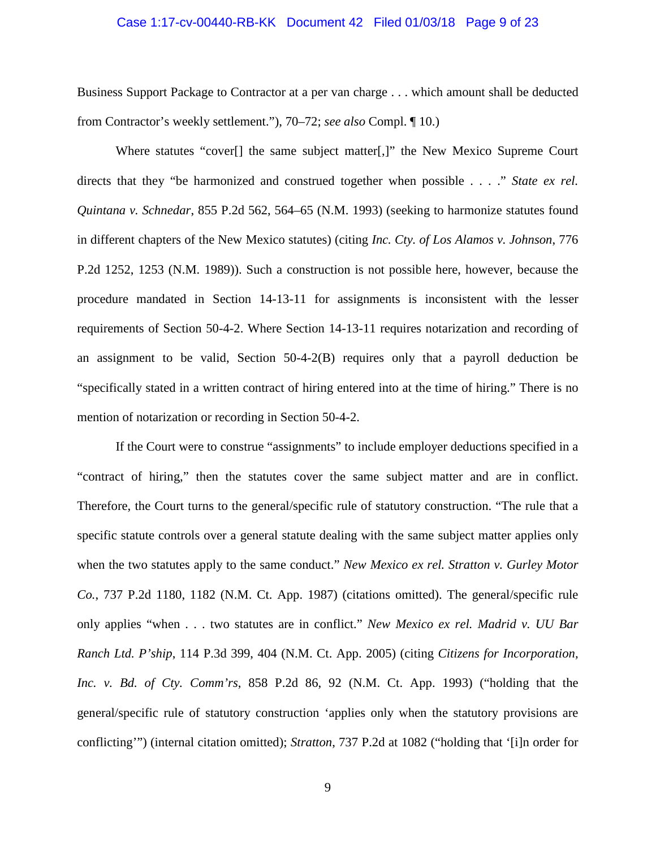#### Case 1:17-cv-00440-RB-KK Document 42 Filed 01/03/18 Page 9 of 23

Business Support Package to Contractor at a per van charge . . . which amount shall be deducted from Contractor's weekly settlement."), 70–72; *see also* Compl. ¶ 10.)

Where statutes "cover<sup>[]</sup> the same subject matter<sup>[1]</sup>, the New Mexico Supreme Court directs that they "be harmonized and construed together when possible . . . ." *State ex rel. Quintana v. Schnedar*, 855 P.2d 562, 564–65 (N.M. 1993) (seeking to harmonize statutes found in different chapters of the New Mexico statutes) (citing *Inc. Cty. of Los Alamos v. Johnson*, 776 P.2d 1252, 1253 (N.M. 1989)). Such a construction is not possible here, however, because the procedure mandated in Section 14-13-11 for assignments is inconsistent with the lesser requirements of Section 50-4-2. Where Section 14-13-11 requires notarization and recording of an assignment to be valid, Section 50-4-2(B) requires only that a payroll deduction be "specifically stated in a written contract of hiring entered into at the time of hiring." There is no mention of notarization or recording in Section 50-4-2.

If the Court were to construe "assignments" to include employer deductions specified in a "contract of hiring," then the statutes cover the same subject matter and are in conflict. Therefore, the Court turns to the general/specific rule of statutory construction. "The rule that a specific statute controls over a general statute dealing with the same subject matter applies only when the two statutes apply to the same conduct." *New Mexico ex rel. Stratton v. Gurley Motor Co.*, 737 P.2d 1180, 1182 (N.M. Ct. App. 1987) (citations omitted). The general/specific rule only applies "when . . . two statutes are in conflict." *New Mexico ex rel. Madrid v. UU Bar Ranch Ltd. P'ship*, 114 P.3d 399, 404 (N.M. Ct. App. 2005) (citing *Citizens for Incorporation, Inc. v. Bd. of Cty. Comm'rs*, 858 P.2d 86, 92 (N.M. Ct. App. 1993) ("holding that the general/specific rule of statutory construction 'applies only when the statutory provisions are conflicting'") (internal citation omitted); *Stratton*, 737 P.2d at 1082 ("holding that '[i]n order for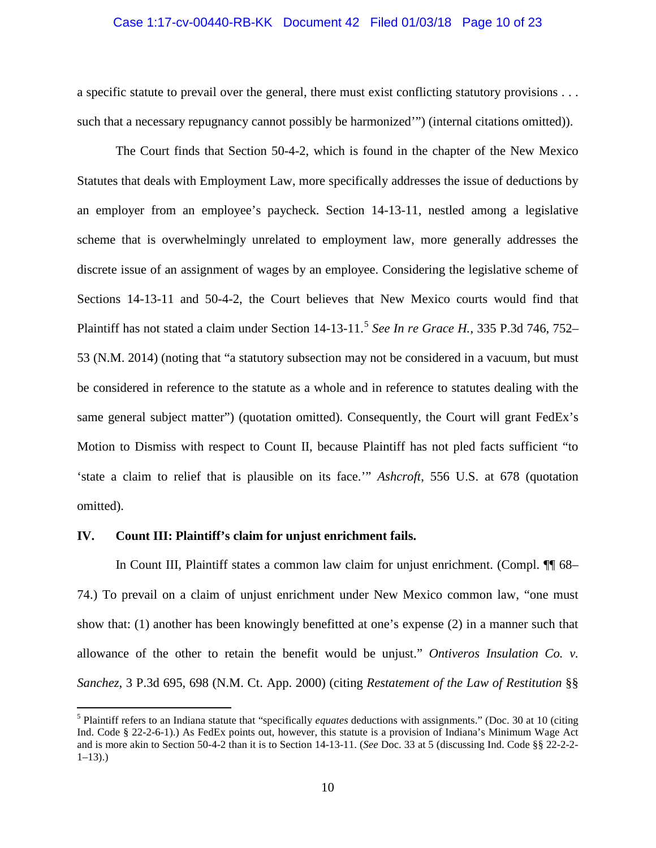# Case 1:17-cv-00440-RB-KK Document 42 Filed 01/03/18 Page 10 of 23

a specific statute to prevail over the general, there must exist conflicting statutory provisions . . . such that a necessary repugnancy cannot possibly be harmonized'") (internal citations omitted)).

The Court finds that Section 50-4-2, which is found in the chapter of the New Mexico Statutes that deals with Employment Law, more specifically addresses the issue of deductions by an employer from an employee's paycheck. Section 14-13-11, nestled among a legislative scheme that is overwhelmingly unrelated to employment law, more generally addresses the discrete issue of an assignment of wages by an employee. Considering the legislative scheme of Sections 14-13-11 and 50-4-2, the Court believes that New Mexico courts would find that Plaintiff has not stated a claim under Section 14-13-11.[5](#page-9-0) *See In re Grace H.*, 335 P.3d 746, 752– 53 (N.M. 2014) (noting that "a statutory subsection may not be considered in a vacuum, but must be considered in reference to the statute as a whole and in reference to statutes dealing with the same general subject matter") (quotation omitted). Consequently, the Court will grant FedEx's Motion to Dismiss with respect to Count II, because Plaintiff has not pled facts sufficient "to 'state a claim to relief that is plausible on its face.'" *Ashcroft*, 556 U.S. at 678 (quotation omitted).

## **IV. Count III: Plaintiff's claim for unjust enrichment fails.**

In Count III, Plaintiff states a common law claim for unjust enrichment. (Compl. ¶¶ 68– 74.) To prevail on a claim of unjust enrichment under New Mexico common law, "one must show that: (1) another has been knowingly benefitted at one's expense (2) in a manner such that allowance of the other to retain the benefit would be unjust." *Ontiveros Insulation Co. v. Sanchez*, 3 P.3d 695, 698 (N.M. Ct. App. 2000) (citing *Restatement of the Law of Restitution* §§

<span id="page-9-0"></span> <sup>5</sup> Plaintiff refers to an Indiana statute that "specifically *equates* deductions with assignments." (Doc. 30 at 10 (citing Ind. Code § 22-2-6-1).) As FedEx points out, however, this statute is a provision of Indiana's Minimum Wage Act and is more akin to Section 50-4-2 than it is to Section 14-13-11. (*See* Doc. 33 at 5 (discussing Ind. Code §§ 22-2-2-  $1-13)$ .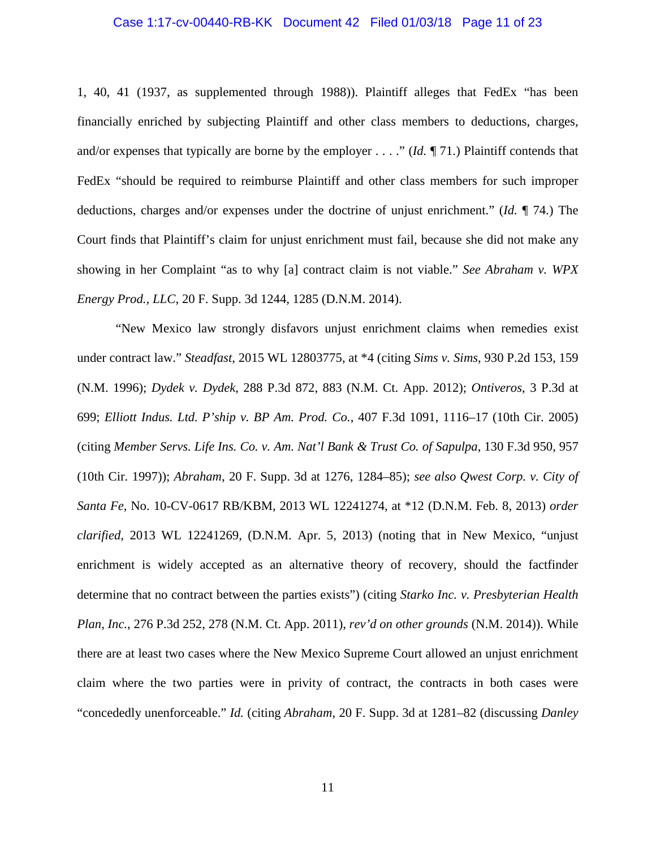#### Case 1:17-cv-00440-RB-KK Document 42 Filed 01/03/18 Page 11 of 23

1, 40, 41 (1937, as supplemented through 1988)). Plaintiff alleges that FedEx "has been financially enriched by subjecting Plaintiff and other class members to deductions, charges, and/or expenses that typically are borne by the employer . . . ." (*Id.* ¶ 71.) Plaintiff contends that FedEx "should be required to reimburse Plaintiff and other class members for such improper deductions, charges and/or expenses under the doctrine of unjust enrichment." (*Id.* ¶ 74.) The Court finds that Plaintiff's claim for unjust enrichment must fail, because she did not make any showing in her Complaint "as to why [a] contract claim is not viable." *See Abraham v. WPX Energy Prod., LLC*, 20 F. Supp. 3d 1244, 1285 (D.N.M. 2014).

"New Mexico law strongly disfavors unjust enrichment claims when remedies exist under contract law." *Steadfast*, 2015 WL 12803775, at \*4 (citing *Sims v. Sims*, 930 P.2d 153, 159 (N.M. 1996); *Dydek v. Dydek*, 288 P.3d 872, 883 (N.M. Ct. App. 2012); *Ontiveros*, 3 P.3d at 699; *Elliott Indus. Ltd. P'ship v. BP Am. Prod. Co.*, 407 F.3d 1091, 1116–17 (10th Cir. 2005) (citing *Member Servs. Life Ins. Co. v. Am. Nat'l Bank & Trust Co. of Sapulpa*, 130 F.3d 950, 957 (10th Cir. 1997)); *Abraham*, 20 F. Supp. 3d at 1276, 1284–85); *see also Qwest Corp. v. City of Santa Fe*, No. 10-CV-0617 RB/KBM, 2013 WL 12241274, at \*12 (D.N.M. Feb. 8, 2013) *order clarified*, 2013 WL 12241269, (D.N.M. Apr. 5, 2013) (noting that in New Mexico, "unjust enrichment is widely accepted as an alternative theory of recovery, should the factfinder determine that no contract between the parties exists") (citing *Starko Inc. v. Presbyterian Health Plan, Inc.*, 276 P.3d 252, 278 (N.M. Ct. App. 2011), *rev'd on other grounds* (N.M. 2014)). While there are at least two cases where the New Mexico Supreme Court allowed an unjust enrichment claim where the two parties were in privity of contract, the contracts in both cases were "concededly unenforceable." *Id.* (citing *Abraham*, 20 F. Supp. 3d at 1281–82 (discussing *Danley*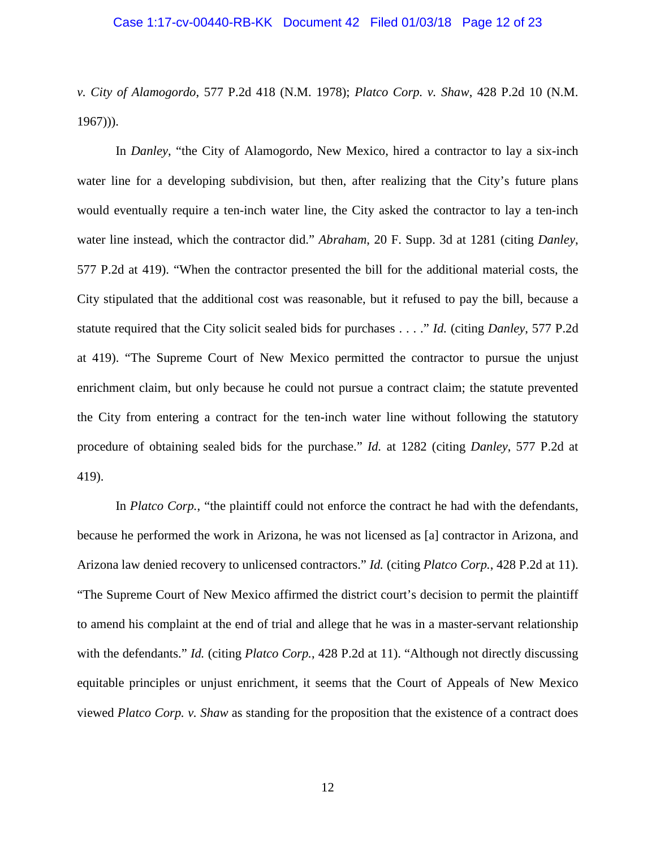*v. City of Alamogordo*, 577 P.2d 418 (N.M. 1978); *Platco Corp. v. Shaw*, 428 P.2d 10 (N.M. 1967))).

In *Danley*, "the City of Alamogordo, New Mexico, hired a contractor to lay a six-inch water line for a developing subdivision, but then, after realizing that the City's future plans would eventually require a ten-inch water line, the City asked the contractor to lay a ten-inch water line instead, which the contractor did." *Abraham*, 20 F. Supp. 3d at 1281 (citing *Danley*, 577 P.2d at 419). "When the contractor presented the bill for the additional material costs, the City stipulated that the additional cost was reasonable, but it refused to pay the bill, because a statute required that the City solicit sealed bids for purchases . . . ." *Id.* (citing *Danley*, 577 P.2d at 419). "The Supreme Court of New Mexico permitted the contractor to pursue the unjust enrichment claim, but only because he could not pursue a contract claim; the statute prevented the City from entering a contract for the ten-inch water line without following the statutory procedure of obtaining sealed bids for the purchase." *Id.* at 1282 (citing *Danley*, 577 P.2d at 419).

In *Platco Corp.*, "the plaintiff could not enforce the contract he had with the defendants, because he performed the work in Arizona, he was not licensed as [a] contractor in Arizona, and Arizona law denied recovery to unlicensed contractors." *Id.* (citing *Platco Corp.*, 428 P.2d at 11). "The Supreme Court of New Mexico affirmed the district court's decision to permit the plaintiff to amend his complaint at the end of trial and allege that he was in a master-servant relationship with the defendants." *Id.* (citing *Platco Corp.*, 428 P.2d at 11). "Although not directly discussing equitable principles or unjust enrichment, it seems that the Court of Appeals of New Mexico viewed *Platco Corp. v. Shaw* as standing for the proposition that the existence of a contract does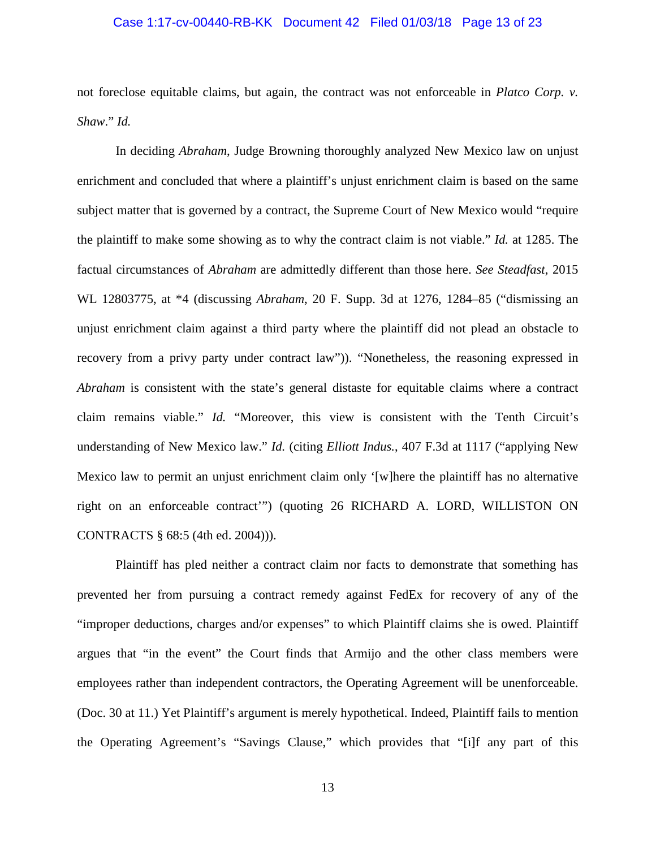#### Case 1:17-cv-00440-RB-KK Document 42 Filed 01/03/18 Page 13 of 23

not foreclose equitable claims, but again, the contract was not enforceable in *Platco Corp. v. Shaw*." *Id.*

In deciding *Abraham*, Judge Browning thoroughly analyzed New Mexico law on unjust enrichment and concluded that where a plaintiff's unjust enrichment claim is based on the same subject matter that is governed by a contract, the Supreme Court of New Mexico would "require the plaintiff to make some showing as to why the contract claim is not viable." *Id.* at 1285. The factual circumstances of *Abraham* are admittedly different than those here. *See Steadfast*, 2015 WL 12803775, at \*4 (discussing *Abraham*, 20 F. Supp. 3d at 1276, 1284–85 ("dismissing an unjust enrichment claim against a third party where the plaintiff did not plead an obstacle to recovery from a privy party under contract law")). "Nonetheless, the reasoning expressed in *Abraham* is consistent with the state's general distaste for equitable claims where a contract claim remains viable." *Id.* "Moreover, this view is consistent with the Tenth Circuit's understanding of New Mexico law." *Id.* (citing *Elliott Indus.*, 407 F.3d at 1117 ("applying New Mexico law to permit an unjust enrichment claim only '[w]here the plaintiff has no alternative right on an enforceable contract'") (quoting 26 RICHARD A. LORD, WILLISTON ON CONTRACTS § 68:5 (4th ed. 2004))).

Plaintiff has pled neither a contract claim nor facts to demonstrate that something has prevented her from pursuing a contract remedy against FedEx for recovery of any of the "improper deductions, charges and/or expenses" to which Plaintiff claims she is owed. Plaintiff argues that "in the event" the Court finds that Armijo and the other class members were employees rather than independent contractors, the Operating Agreement will be unenforceable. (Doc. 30 at 11.) Yet Plaintiff's argument is merely hypothetical. Indeed, Plaintiff fails to mention the Operating Agreement's "Savings Clause," which provides that "[i]f any part of this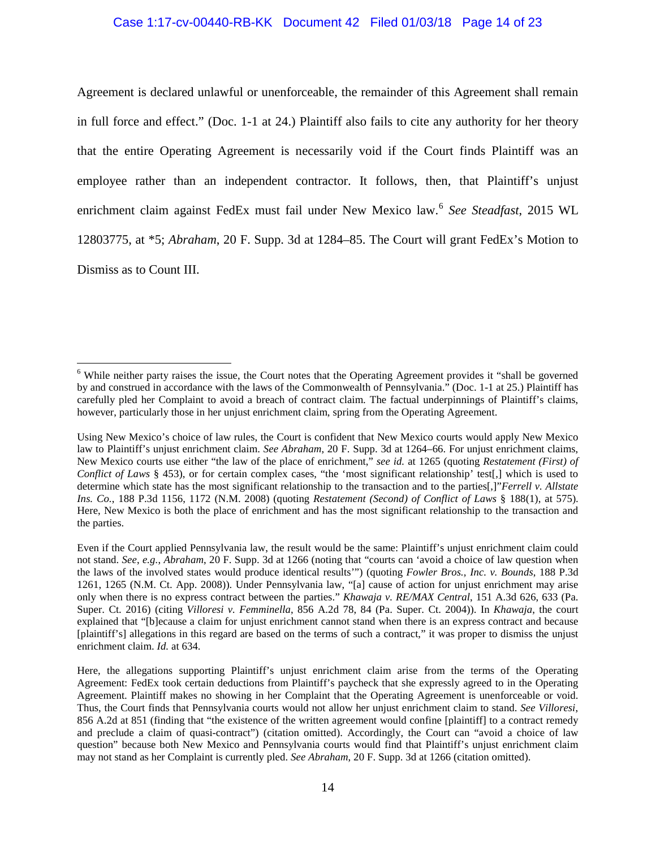# Case 1:17-cv-00440-RB-KK Document 42 Filed 01/03/18 Page 14 of 23

Agreement is declared unlawful or unenforceable, the remainder of this Agreement shall remain in full force and effect." (Doc. 1-1 at 24.) Plaintiff also fails to cite any authority for her theory that the entire Operating Agreement is necessarily void if the Court finds Plaintiff was an employee rather than an independent contractor. It follows, then, that Plaintiff's unjust enrichment claim against FedEx must fail under New Mexico law.[6](#page-13-0) *See Steadfast*, 2015 WL 12803775, at \*5; *Abraham*, 20 F. Supp. 3d at 1284–85. The Court will grant FedEx's Motion to Dismiss as to Count III.

<span id="page-13-0"></span><sup>&</sup>lt;sup>6</sup> While neither party raises the issue, the Court notes that the Operating Agreement provides it "shall be governed by and construed in accordance with the laws of the Commonwealth of Pennsylvania." (Doc. 1-1 at 25.) Plaintiff has carefully pled her Complaint to avoid a breach of contract claim. The factual underpinnings of Plaintiff's claims, however, particularly those in her unjust enrichment claim, spring from the Operating Agreement.

Using New Mexico's choice of law rules, the Court is confident that New Mexico courts would apply New Mexico law to Plaintiff's unjust enrichment claim. *See Abraham*, 20 F. Supp. 3d at 1264–66. For unjust enrichment claims, New Mexico courts use either "the law of the place of enrichment," *see id.* at 1265 (quoting *Restatement (First) of Conflict of Laws* § 453), or for certain complex cases, "the 'most significant relationship' test[,] which is used to determine which state has the most significant relationship to the transaction and to the parties[,]"*Ferrell v. Allstate Ins. Co.*, 188 P.3d 1156, 1172 (N.M. 2008) (quoting *Restatement (Second) of Conflict of Laws* § 188(1), at 575). Here, New Mexico is both the place of enrichment and has the most significant relationship to the transaction and the parties.

Even if the Court applied Pennsylvania law, the result would be the same: Plaintiff's unjust enrichment claim could not stand. *See*, *e.g.*, *Abraham*, 20 F. Supp. 3d at 1266 (noting that "courts can 'avoid a choice of law question when the laws of the involved states would produce identical results'") (quoting *Fowler Bros., Inc. v. Bounds*, 188 P.3d 1261, 1265 (N.M. Ct. App. 2008)). Under Pennsylvania law, "[a] cause of action for unjust enrichment may arise only when there is no express contract between the parties." *Khawaja v. RE/MAX Central*, 151 A.3d 626, 633 (Pa. Super. Ct. 2016) (citing *Villoresi v. Femminella*, 856 A.2d 78, 84 (Pa. Super. Ct. 2004)). In *Khawaja*, the court explained that "[b]ecause a claim for unjust enrichment cannot stand when there is an express contract and because [plaintiff's] allegations in this regard are based on the terms of such a contract," it was proper to dismiss the unjust enrichment claim. *Id.* at 634.

Here, the allegations supporting Plaintiff's unjust enrichment claim arise from the terms of the Operating Agreement: FedEx took certain deductions from Plaintiff's paycheck that she expressly agreed to in the Operating Agreement. Plaintiff makes no showing in her Complaint that the Operating Agreement is unenforceable or void. Thus, the Court finds that Pennsylvania courts would not allow her unjust enrichment claim to stand. *See Villoresi*, 856 A.2d at 851 (finding that "the existence of the written agreement would confine [plaintiff] to a contract remedy and preclude a claim of quasi-contract") (citation omitted). Accordingly, the Court can "avoid a choice of law question" because both New Mexico and Pennsylvania courts would find that Plaintiff's unjust enrichment claim may not stand as her Complaint is currently pled. *See Abraham*, 20 F. Supp. 3d at 1266 (citation omitted).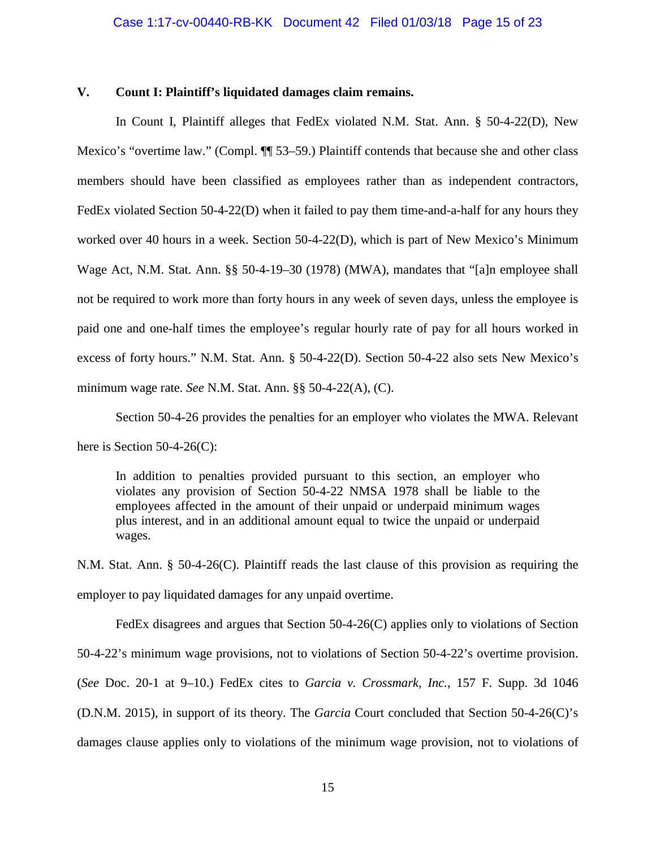#### **V. Count I: Plaintiff's liquidated damages claim remains.**

In Count I, Plaintiff alleges that FedEx violated N.M. Stat. Ann. § 50-4-22(D), New Mexico's "overtime law." (Compl. ¶¶ 53–59.) Plaintiff contends that because she and other class members should have been classified as employees rather than as independent contractors, FedEx violated Section 50-4-22(D) when it failed to pay them time-and-a-half for any hours they worked over 40 hours in a week. Section 50-4-22(D), which is part of New Mexico's Minimum Wage Act, N.M. Stat. Ann. §§ 50-4-19–30 (1978) (MWA), mandates that "[a]n employee shall not be required to work more than forty hours in any week of seven days, unless the employee is paid one and one-half times the employee's regular hourly rate of pay for all hours worked in excess of forty hours." N.M. Stat. Ann. § 50-4-22(D). Section 50-4-22 also sets New Mexico's minimum wage rate. *See* N.M. Stat. Ann. §§ 50-4-22(A), (C).

Section 50-4-26 provides the penalties for an employer who violates the MWA. Relevant here is Section 50-4-26(C):

In addition to penalties provided pursuant to this section, an employer who violates any provision of Section 50-4-22 NMSA 1978 shall be liable to the employees affected in the amount of their unpaid or underpaid minimum wages plus interest, and in an additional amount equal to twice the unpaid or underpaid wages.

N.M. Stat. Ann. § 50-4-26(C). Plaintiff reads the last clause of this provision as requiring the employer to pay liquidated damages for any unpaid overtime.

FedEx disagrees and argues that Section 50-4-26(C) applies only to violations of Section 50-4-22's minimum wage provisions, not to violations of Section 50-4-22's overtime provision. (*See* Doc. 20-1 at 9–10.) FedEx cites to *Garcia v. Crossmark, Inc.*, 157 F. Supp. 3d 1046 (D.N.M. 2015), in support of its theory. The *Garcia* Court concluded that Section 50-4-26(C)'s damages clause applies only to violations of the minimum wage provision, not to violations of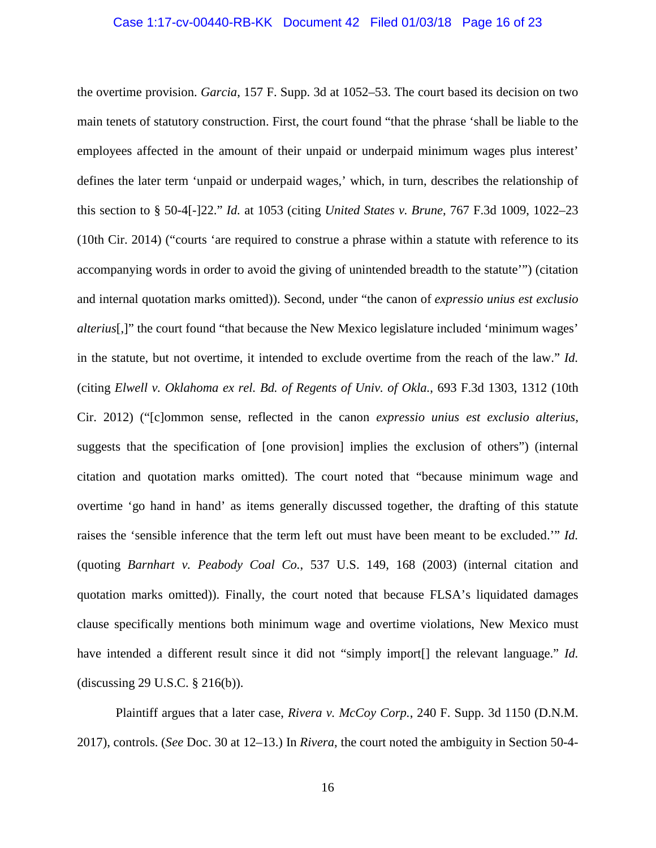#### Case 1:17-cv-00440-RB-KK Document 42 Filed 01/03/18 Page 16 of 23

the overtime provision. *Garcia*, 157 F. Supp. 3d at 1052–53. The court based its decision on two main tenets of statutory construction. First, the court found "that the phrase 'shall be liable to the employees affected in the amount of their unpaid or underpaid minimum wages plus interest' defines the later term 'unpaid or underpaid wages,' which, in turn, describes the relationship of this section to § 50-4[-]22." *Id.* at 1053 (citing *United States v. Brune*, 767 F.3d 1009, 1022–23 (10th Cir. 2014) ("courts 'are required to construe a phrase within a statute with reference to its accompanying words in order to avoid the giving of unintended breadth to the statute'") (citation and internal quotation marks omitted)). Second, under "the canon of *expressio unius est exclusio alterius*[,]" the court found "that because the New Mexico legislature included 'minimum wages' in the statute, but not overtime, it intended to exclude overtime from the reach of the law." *Id.* (citing *Elwell v. Oklahoma ex rel. Bd. of Regents of Univ. of Okla.*, 693 F.3d 1303, 1312 (10th Cir. 2012) ("[c]ommon sense, reflected in the canon *expressio unius est exclusio alterius*, suggests that the specification of [one provision] implies the exclusion of others") (internal citation and quotation marks omitted). The court noted that "because minimum wage and overtime 'go hand in hand' as items generally discussed together, the drafting of this statute raises the 'sensible inference that the term left out must have been meant to be excluded.'" *Id.*  (quoting *Barnhart v. Peabody Coal Co.*, 537 U.S. 149, 168 (2003) (internal citation and quotation marks omitted)). Finally, the court noted that because FLSA's liquidated damages clause specifically mentions both minimum wage and overtime violations, New Mexico must have intended a different result since it did not "simply import<sup>[]</sup> the relevant language." *Id.* (discussing 29 U.S.C. § 216(b)).

Plaintiff argues that a later case, *Rivera v. McCoy Corp.*, 240 F. Supp. 3d 1150 (D.N.M. 2017), controls. (*See* Doc. 30 at 12–13.) In *Rivera*, the court noted the ambiguity in Section 50-4-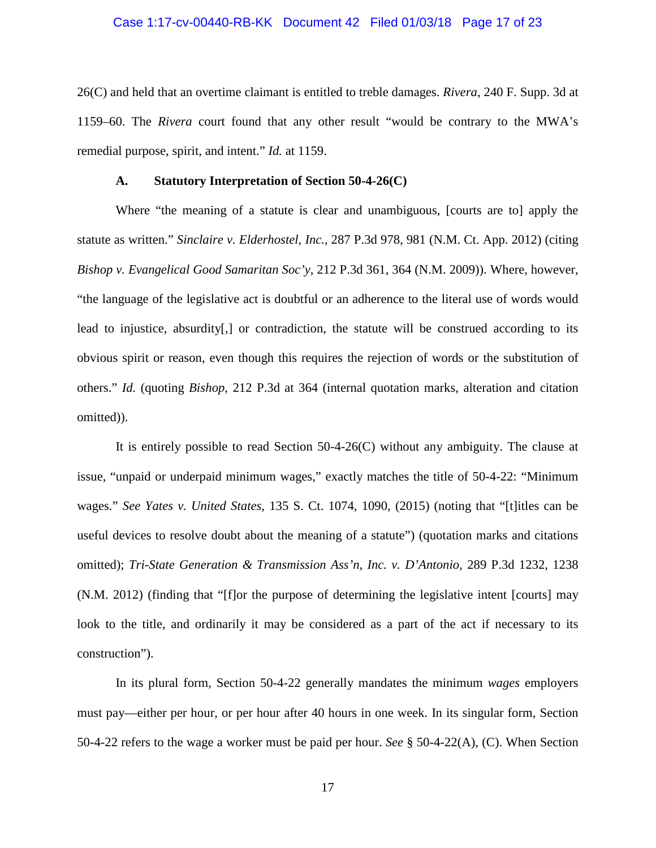#### Case 1:17-cv-00440-RB-KK Document 42 Filed 01/03/18 Page 17 of 23

26(C) and held that an overtime claimant is entitled to treble damages. *Rivera*, 240 F. Supp. 3d at 1159–60. The *Rivera* court found that any other result "would be contrary to the MWA's remedial purpose, spirit, and intent." *Id.* at 1159.

#### **A. Statutory Interpretation of Section 50-4-26(C)**

Where "the meaning of a statute is clear and unambiguous, [courts are to] apply the statute as written." *Sinclaire v. Elderhostel, Inc.*, 287 P.3d 978, 981 (N.M. Ct. App. 2012) (citing *Bishop v. Evangelical Good Samaritan Soc'y*, 212 P.3d 361, 364 (N.M. 2009)). Where, however, "the language of the legislative act is doubtful or an adherence to the literal use of words would lead to injustice, absurdity[,] or contradiction, the statute will be construed according to its obvious spirit or reason, even though this requires the rejection of words or the substitution of others." *Id.* (quoting *Bishop*, 212 P.3d at 364 (internal quotation marks, alteration and citation omitted)).

It is entirely possible to read Section  $50-4-26(C)$  without any ambiguity. The clause at issue, "unpaid or underpaid minimum wages," exactly matches the title of 50-4-22: "Minimum wages." *See Yates v. United States*, 135 S. Ct. 1074, 1090, (2015) (noting that "[t]itles can be useful devices to resolve doubt about the meaning of a statute") (quotation marks and citations omitted); *Tri-State Generation & Transmission Ass'n, Inc. v. D'Antonio*, 289 P.3d 1232, 1238 (N.M. 2012) (finding that "[f]or the purpose of determining the legislative intent [courts] may look to the title, and ordinarily it may be considered as a part of the act if necessary to its construction").

In its plural form, Section 50-4-22 generally mandates the minimum *wages* employers must pay—either per hour, or per hour after 40 hours in one week. In its singular form, Section 50-4-22 refers to the wage a worker must be paid per hour. *See* § 50-4-22(A), (C). When Section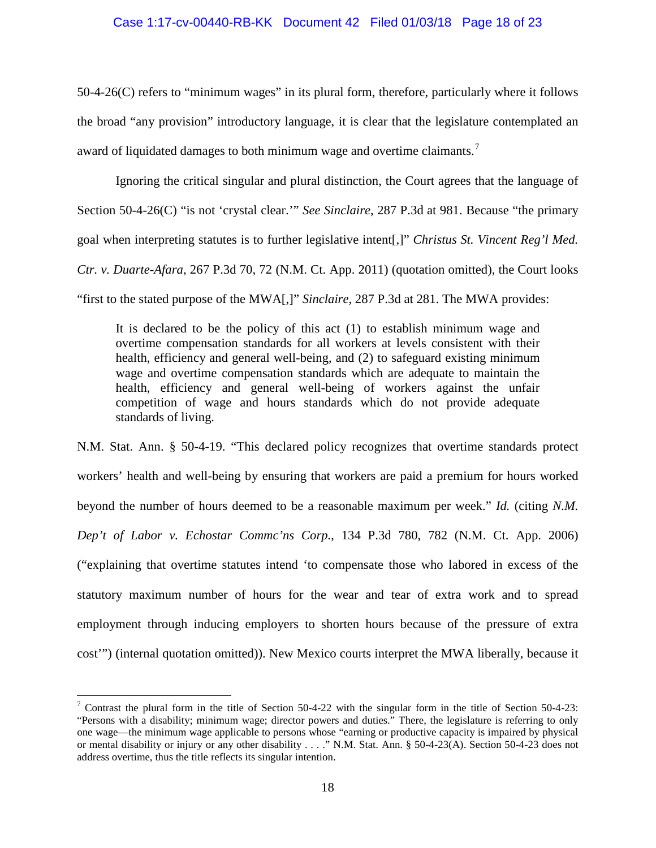#### Case 1:17-cv-00440-RB-KK Document 42 Filed 01/03/18 Page 18 of 23

50-4-26(C) refers to "minimum wages" in its plural form, therefore, particularly where it follows the broad "any provision" introductory language, it is clear that the legislature contemplated an award of liquidated damages to both minimum wage and overtime claimants.<sup>[7](#page-17-0)</sup>

Ignoring the critical singular and plural distinction, the Court agrees that the language of Section 50-4-26(C) "is not 'crystal clear.'" *See Sinclaire*, 287 P.3d at 981. Because "the primary goal when interpreting statutes is to further legislative intent[,]" *Christus St. Vincent Reg'l Med. Ctr. v. Duarte-Afara*, 267 P.3d 70, 72 (N.M. Ct. App. 2011) (quotation omitted), the Court looks "first to the stated purpose of the MWA[,]" *Sinclaire*, 287 P.3d at 281. The MWA provides:

It is declared to be the policy of this act (1) to establish minimum wage and overtime compensation standards for all workers at levels consistent with their health, efficiency and general well-being, and (2) to safeguard existing minimum wage and overtime compensation standards which are adequate to maintain the health, efficiency and general well-being of workers against the unfair competition of wage and hours standards which do not provide adequate standards of living.

N.M. Stat. Ann. § 50-4-19. "This declared policy recognizes that overtime standards protect workers' health and well-being by ensuring that workers are paid a premium for hours worked beyond the number of hours deemed to be a reasonable maximum per week." *Id.* (citing *N.M. Dep't of Labor v. Echostar Commc'ns Corp.*, 134 P.3d 780, 782 (N.M. Ct. App. 2006) ("explaining that overtime statutes intend 'to compensate those who labored in excess of the statutory maximum number of hours for the wear and tear of extra work and to spread employment through inducing employers to shorten hours because of the pressure of extra cost'") (internal quotation omitted)). New Mexico courts interpret the MWA liberally, because it

<span id="page-17-0"></span> $\frac{7}{1}$  Contrast the plural form in the title of Section 50-4-22 with the singular form in the title of Section 50-4-23: "Persons with a disability; minimum wage; director powers and duties." There, the legislature is referring to only one wage—the minimum wage applicable to persons whose "earning or productive capacity is impaired by physical or mental disability or injury or any other disability . . . ." N.M. Stat. Ann. § 50-4-23(A). Section 50-4-23 does not address overtime, thus the title reflects its singular intention.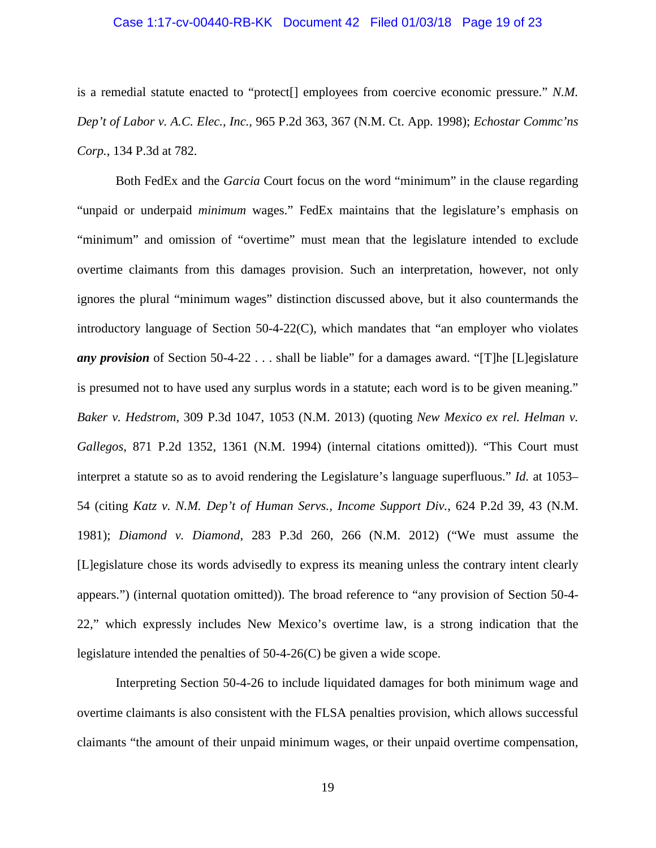#### Case 1:17-cv-00440-RB-KK Document 42 Filed 01/03/18 Page 19 of 23

is a remedial statute enacted to "protect[] employees from coercive economic pressure." *N.M. Dep't of Labor v. A.C. Elec., Inc.,* 965 P.2d 363, 367 (N.M. Ct. App. 1998); *Echostar Commc'ns Corp.*, 134 P.3d at 782.

Both FedEx and the *Garcia* Court focus on the word "minimum" in the clause regarding "unpaid or underpaid *minimum* wages." FedEx maintains that the legislature's emphasis on "minimum" and omission of "overtime" must mean that the legislature intended to exclude overtime claimants from this damages provision. Such an interpretation, however, not only ignores the plural "minimum wages" distinction discussed above, but it also countermands the introductory language of Section 50-4-22(C), which mandates that "an employer who violates *any provision* of Section 50-4-22 . . . shall be liable" for a damages award. "[T]he [L]egislature is presumed not to have used any surplus words in a statute; each word is to be given meaning." *Baker v. Hedstrom*, 309 P.3d 1047, 1053 (N.M. 2013) (quoting *New Mexico ex rel. Helman v. Gallegos*, 871 P.2d 1352, 1361 (N.M. 1994) (internal citations omitted)). "This Court must interpret a statute so as to avoid rendering the Legislature's language superfluous." *Id.* at 1053– 54 (citing *Katz v. N.M. Dep't of Human Servs., Income Support Div.*, 624 P.2d 39, 43 (N.M. 1981); *Diamond v. Diamond*, 283 P.3d 260, 266 (N.M. 2012) ("We must assume the [L]egislature chose its words advisedly to express its meaning unless the contrary intent clearly appears.") (internal quotation omitted)). The broad reference to "any provision of Section 50-4- 22," which expressly includes New Mexico's overtime law, is a strong indication that the legislature intended the penalties of 50-4-26(C) be given a wide scope.

Interpreting Section 50-4-26 to include liquidated damages for both minimum wage and overtime claimants is also consistent with the FLSA penalties provision, which allows successful claimants "the amount of their unpaid minimum wages, or their unpaid overtime compensation,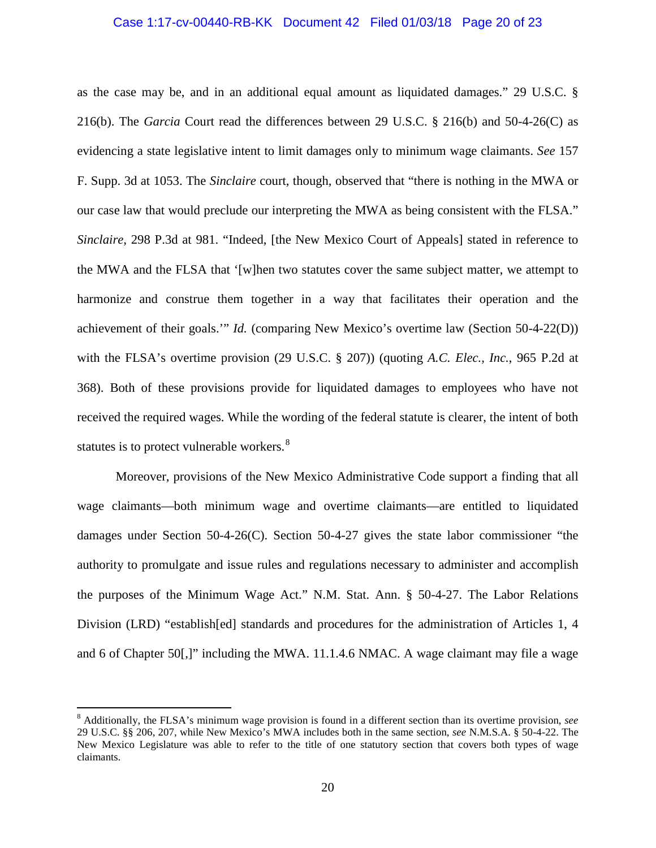# Case 1:17-cv-00440-RB-KK Document 42 Filed 01/03/18 Page 20 of 23

as the case may be, and in an additional equal amount as liquidated damages." 29 U.S.C. § 216(b). The *Garcia* Court read the differences between 29 U.S.C. § 216(b) and 50-4-26(C) as evidencing a state legislative intent to limit damages only to minimum wage claimants. *See* 157 F. Supp. 3d at 1053. The *Sinclaire* court, though, observed that "there is nothing in the MWA or our case law that would preclude our interpreting the MWA as being consistent with the FLSA." *Sinclaire*, 298 P.3d at 981. "Indeed, [the New Mexico Court of Appeals] stated in reference to the MWA and the FLSA that '[w]hen two statutes cover the same subject matter, we attempt to harmonize and construe them together in a way that facilitates their operation and the achievement of their goals.'" *Id.* (comparing New Mexico's overtime law (Section 50-4-22(D)) with the FLSA's overtime provision (29 U.S.C. § 207)) (quoting *A.C. Elec., Inc.*, 965 P.2d at 368). Both of these provisions provide for liquidated damages to employees who have not received the required wages. While the wording of the federal statute is clearer, the intent of both statutes is to protect vulnerable workers.<sup>[8](#page-19-0)</sup>

Moreover, provisions of the New Mexico Administrative Code support a finding that all wage claimants—both minimum wage and overtime claimants—are entitled to liquidated damages under Section 50-4-26(C). Section 50-4-27 gives the state labor commissioner "the authority to promulgate and issue rules and regulations necessary to administer and accomplish the purposes of the Minimum Wage Act." N.M. Stat. Ann. § 50-4-27. The Labor Relations Division (LRD) "establish[ed] standards and procedures for the administration of Articles 1, 4 and 6 of Chapter 50[,]" including the MWA. 11.1.4.6 NMAC. A wage claimant may file a wage

<span id="page-19-0"></span> <sup>8</sup> Additionally, the FLSA's minimum wage provision is found in a different section than its overtime provision, *see* 29 U.S.C. §§ 206, 207, while New Mexico's MWA includes both in the same section, *see* N.M.S.A. § 50-4-22. The New Mexico Legislature was able to refer to the title of one statutory section that covers both types of wage claimants.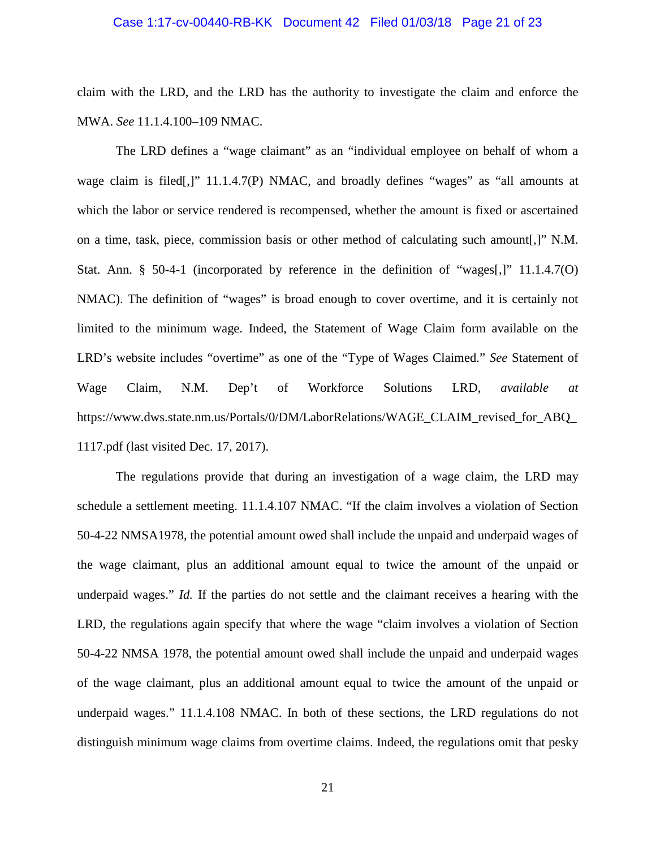#### Case 1:17-cv-00440-RB-KK Document 42 Filed 01/03/18 Page 21 of 23

claim with the LRD, and the LRD has the authority to investigate the claim and enforce the MWA. *See* 11.1.4.100–109 NMAC.

The LRD defines a "wage claimant" as an "individual employee on behalf of whom a wage claim is filed[,]" 11.1.4.7(P) NMAC, and broadly defines "wages" as "all amounts at which the labor or service rendered is recompensed, whether the amount is fixed or ascertained on a time, task, piece, commission basis or other method of calculating such amount[,]" N.M. Stat. Ann. § 50-4-1 (incorporated by reference in the definition of "wages[,]" 11.1.4.7(O) NMAC). The definition of "wages" is broad enough to cover overtime, and it is certainly not limited to the minimum wage. Indeed, the Statement of Wage Claim form available on the LRD's website includes "overtime" as one of the "Type of Wages Claimed." *See* Statement of Wage Claim, N.M. Dep't of Workforce Solutions LRD, *available at*  https://www.dws.state.nm.us/Portals/0/DM/LaborRelations/WAGE\_CLAIM\_revised\_for\_ABQ\_ 1117.pdf (last visited Dec. 17, 2017).

The regulations provide that during an investigation of a wage claim, the LRD may schedule a settlement meeting. 11.1.4.107 NMAC. "If the claim involves a violation of Section 50-4-22 NMSA1978, the potential amount owed shall include the unpaid and underpaid wages of the wage claimant, plus an additional amount equal to twice the amount of the unpaid or underpaid wages." *Id.* If the parties do not settle and the claimant receives a hearing with the LRD, the regulations again specify that where the wage "claim involves a violation of Section 50-4-22 NMSA 1978, the potential amount owed shall include the unpaid and underpaid wages of the wage claimant, plus an additional amount equal to twice the amount of the unpaid or underpaid wages." 11.1.4.108 NMAC. In both of these sections, the LRD regulations do not distinguish minimum wage claims from overtime claims. Indeed, the regulations omit that pesky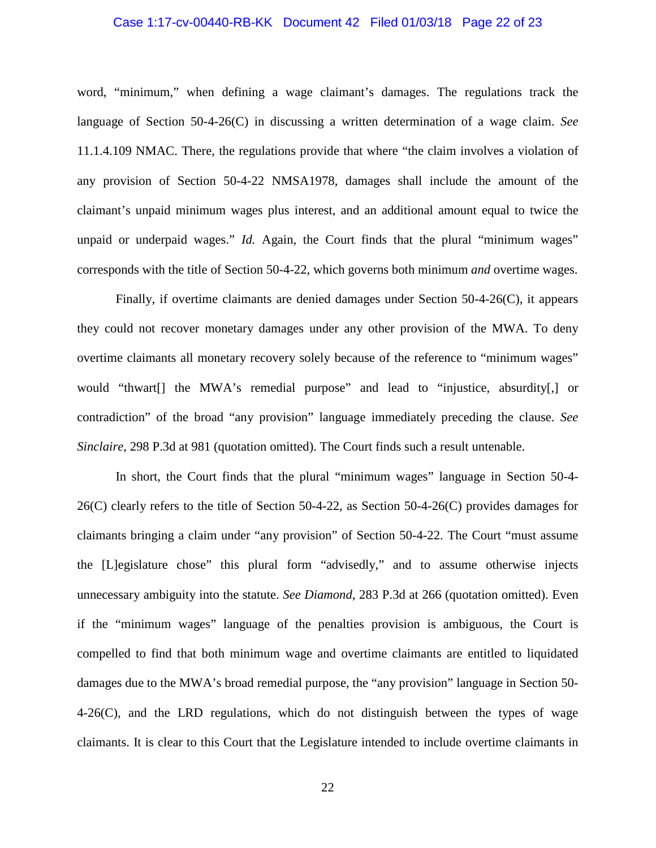#### Case 1:17-cv-00440-RB-KK Document 42 Filed 01/03/18 Page 22 of 23

word, "minimum," when defining a wage claimant's damages. The regulations track the language of Section 50-4-26(C) in discussing a written determination of a wage claim. *See*  11.1.4.109 NMAC. There, the regulations provide that where "the claim involves a violation of any provision of Section 50-4-22 NMSA1978, damages shall include the amount of the claimant's unpaid minimum wages plus interest, and an additional amount equal to twice the unpaid or underpaid wages." *Id.* Again, the Court finds that the plural "minimum wages" corresponds with the title of Section 50-4-22, which governs both minimum *and* overtime wages.

Finally, if overtime claimants are denied damages under Section  $50-4-26(C)$ , it appears they could not recover monetary damages under any other provision of the MWA. To deny overtime claimants all monetary recovery solely because of the reference to "minimum wages" would "thwart[] the MWA's remedial purpose" and lead to "injustice, absurdity[,] or contradiction" of the broad "any provision" language immediately preceding the clause. *See Sinclaire*, 298 P.3d at 981 (quotation omitted). The Court finds such a result untenable.

In short, the Court finds that the plural "minimum wages" language in Section 50-4- 26(C) clearly refers to the title of Section 50-4-22, as Section 50-4-26(C) provides damages for claimants bringing a claim under "any provision" of Section 50-4-22. The Court "must assume the [L]egislature chose" this plural form "advisedly," and to assume otherwise injects unnecessary ambiguity into the statute. *See Diamond*, 283 P.3d at 266 (quotation omitted). Even if the "minimum wages" language of the penalties provision is ambiguous, the Court is compelled to find that both minimum wage and overtime claimants are entitled to liquidated damages due to the MWA's broad remedial purpose, the "any provision" language in Section 50- 4-26(C), and the LRD regulations, which do not distinguish between the types of wage claimants. It is clear to this Court that the Legislature intended to include overtime claimants in